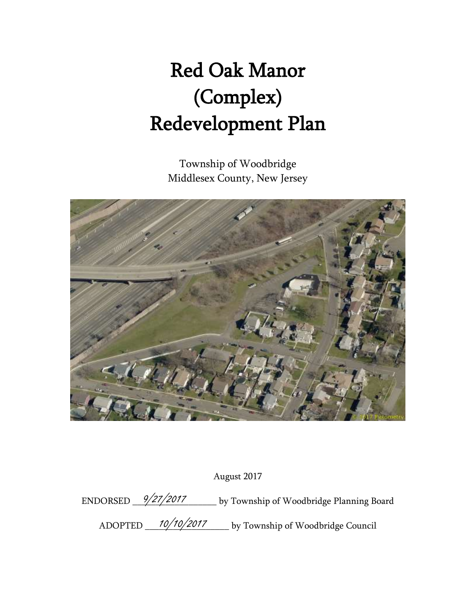# Red Oak Manor (Complex) Redevelopment Plan

Township of Woodbridge Middlesex County, New Jersey



August 2017

ENDORSED  $\frac{9/27/2017}{9}$  by Township of Woodbridge Planning Board ADOPTED 10/10/2017 by Township of Woodbridge Council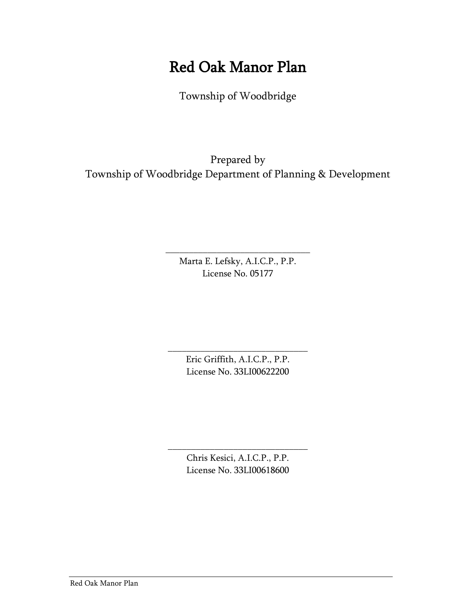# Red Oak Manor Plan

Township of Woodbridge

Prepared by Township of Woodbridge Department of Planning & Development

> Marta E. Lefsky, A.I.C.P., P.P. License No. 05177

\_\_\_\_\_\_\_\_\_\_\_\_\_\_\_\_\_\_\_\_\_\_\_\_\_\_\_\_\_\_\_

\_\_\_\_\_\_\_\_\_\_\_\_\_\_\_\_\_\_\_\_\_\_\_\_\_\_\_\_\_\_ Eric Griffith, A.I.C.P., P.P. License No. 33LI00622200

> Chris Kesici, A.I.C.P., P.P. License No. 33LI00618600

\_\_\_\_\_\_\_\_\_\_\_\_\_\_\_\_\_\_\_\_\_\_\_\_\_\_\_\_\_\_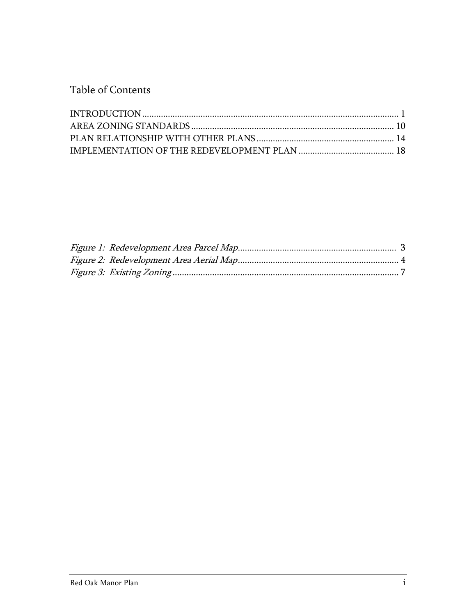Table of Contents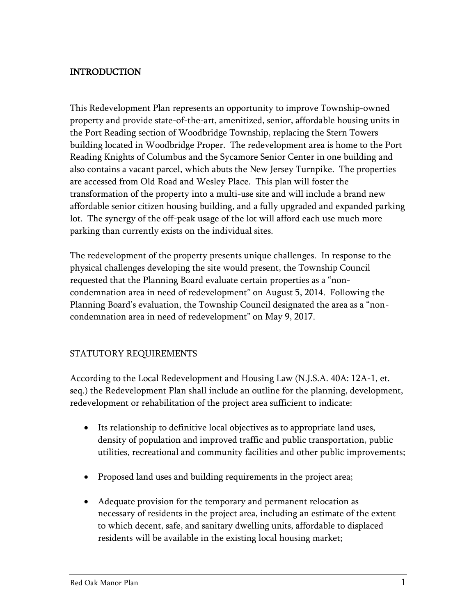## <span id="page-3-0"></span>INTRODUCTION

This Redevelopment Plan represents an opportunity to improve Township-owned property and provide state-of-the-art, amenitized, senior, affordable housing units in the Port Reading section of Woodbridge Township, replacing the Stern Towers building located in Woodbridge Proper. The redevelopment area is home to the Port Reading Knights of Columbus and the Sycamore Senior Center in one building and also contains a vacant parcel, which abuts the New Jersey Turnpike. The properties are accessed from Old Road and Wesley Place. This plan will foster the transformation of the property into a multi-use site and will include a brand new affordable senior citizen housing building, and a fully upgraded and expanded parking lot. The synergy of the off-peak usage of the lot will afford each use much more parking than currently exists on the individual sites.

The redevelopment of the property presents unique challenges. In response to the physical challenges developing the site would present, the Township Council requested that the Planning Board evaluate certain properties as a "noncondemnation area in need of redevelopment" on August 5, 2014. Following the Planning Board's evaluation, the Township Council designated the area as a "noncondemnation area in need of redevelopment" on May 9, 2017.

#### STATUTORY REQUIREMENTS

According to the Local Redevelopment and Housing Law (N.J.S.A. 40A: 12A-1, et. seq.) the Redevelopment Plan shall include an outline for the planning, development, redevelopment or rehabilitation of the project area sufficient to indicate:

- Its relationship to definitive local objectives as to appropriate land uses, density of population and improved traffic and public transportation, public utilities, recreational and community facilities and other public improvements;
- Proposed land uses and building requirements in the project area;
- Adequate provision for the temporary and permanent relocation as necessary of residents in the project area, including an estimate of the extent to which decent, safe, and sanitary dwelling units, affordable to displaced residents will be available in the existing local housing market;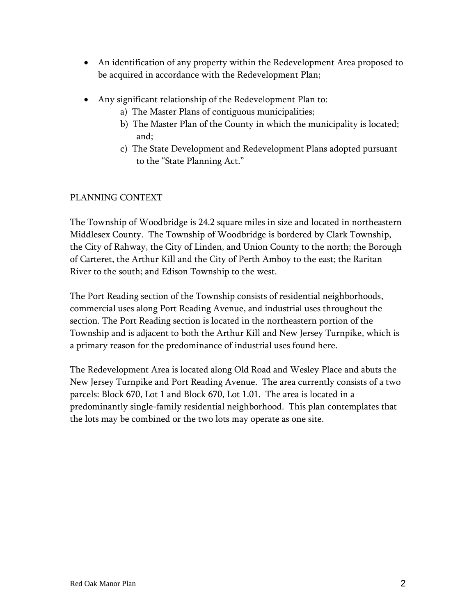- An identification of any property within the Redevelopment Area proposed to be acquired in accordance with the Redevelopment Plan;
- Any significant relationship of the Redevelopment Plan to:
	- a) The Master Plans of contiguous municipalities;
	- b) The Master Plan of the County in which the municipality is located; and;
	- c) The State Development and Redevelopment Plans adopted pursuant to the "State Planning Act."

# PLANNING CONTEXT

The Township of Woodbridge is 24.2 square miles in size and located in northeastern Middlesex County. The Township of Woodbridge is bordered by Clark Township, the City of Rahway, the City of Linden, and Union County to the north; the Borough of Carteret, the Arthur Kill and the City of Perth Amboy to the east; the Raritan River to the south; and Edison Township to the west.

The Port Reading section of the Township consists of residential neighborhoods, commercial uses along Port Reading Avenue, and industrial uses throughout the section. The Port Reading section is located in the northeastern portion of the Township and is adjacent to both the Arthur Kill and New Jersey Turnpike, which is a primary reason for the predominance of industrial uses found here.

<span id="page-4-0"></span>The Redevelopment Area is located along Old Road and Wesley Place and abuts the New Jersey Turnpike and Port Reading Avenue. The area currently consists of a two parcels: Block 670, Lot 1 and Block 670, Lot 1.01. The area is located in a predominantly single-family residential neighborhood. This plan contemplates that the lots may be combined or the two lots may operate as one site.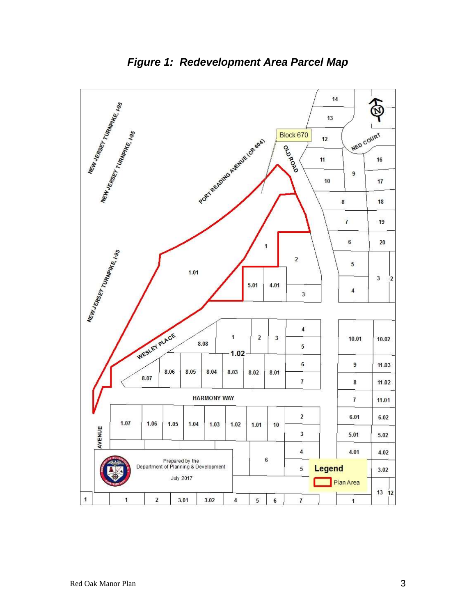

*Figure 1: Redevelopment Area Parcel Map*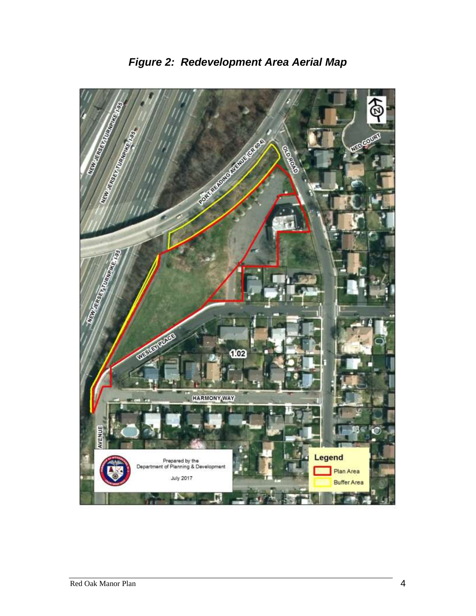<span id="page-6-0"></span>

*Figure 2: Redevelopment Area Aerial Map*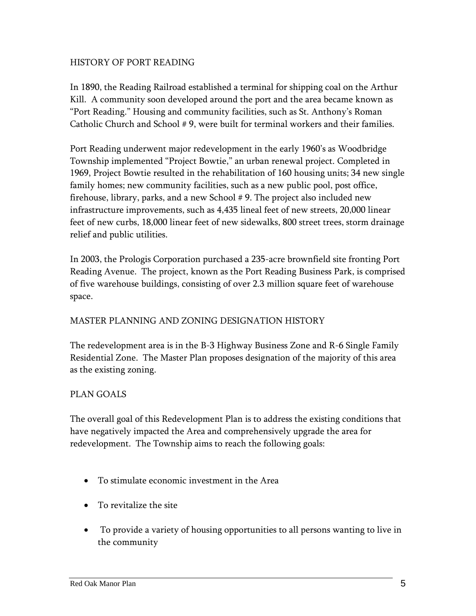#### HISTORY OF PORT READING

In 1890, the Reading Railroad established a terminal for shipping coal on the Arthur Kill. A community soon developed around the port and the area became known as "Port Reading." Housing and community facilities, such as St. Anthony's Roman Catholic Church and School # 9, were built for terminal workers and their families.

Port Reading underwent major redevelopment in the early 1960's as Woodbridge Township implemented "Project Bowtie," an urban renewal project. Completed in 1969, Project Bowtie resulted in the rehabilitation of 160 housing units; 34 new single family homes; new community facilities, such as a new public pool, post office, firehouse, library, parks, and a new School #9. The project also included new infrastructure improvements, such as 4,435 lineal feet of new streets, 20,000 linear feet of new curbs, 18,000 linear feet of new sidewalks, 800 street trees, storm drainage relief and public utilities.

In 2003, the Prologis Corporation purchased a 235-acre brownfield site fronting Port Reading Avenue. The project, known as the Port Reading Business Park, is comprised of five warehouse buildings, consisting of over 2.3 million square feet of warehouse space.

#### MASTER PLANNING AND ZONING DESIGNATION HISTORY

The redevelopment area is in the B-3 Highway Business Zone and R-6 Single Family Residential Zone. The Master Plan proposes designation of the majority of this area as the existing zoning.

#### PLAN GOALS

The overall goal of this Redevelopment Plan is to address the existing conditions that have negatively impacted the Area and comprehensively upgrade the area for redevelopment. The Township aims to reach the following goals:

- To stimulate economic investment in the Area
- To revitalize the site
- To provide a variety of housing opportunities to all persons wanting to live in the community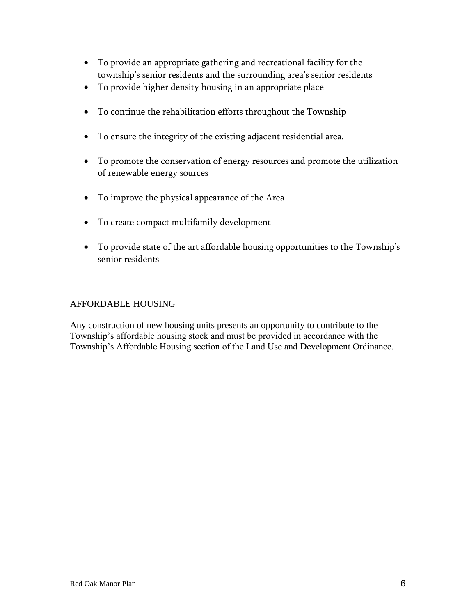- To provide an appropriate gathering and recreational facility for the township's senior residents and the surrounding area's senior residents
- To provide higher density housing in an appropriate place
- To continue the rehabilitation efforts throughout the Township
- To ensure the integrity of the existing adjacent residential area.
- To promote the conservation of energy resources and promote the utilization of renewable energy sources
- To improve the physical appearance of the Area
- To create compact multifamily development
- To provide state of the art affordable housing opportunities to the Township's senior residents

#### AFFORDABLE HOUSING

<span id="page-8-0"></span>Any construction of new housing units presents an opportunity to contribute to the Township's affordable housing stock and must be provided in accordance with the Township's Affordable Housing section of the Land Use and Development Ordinance.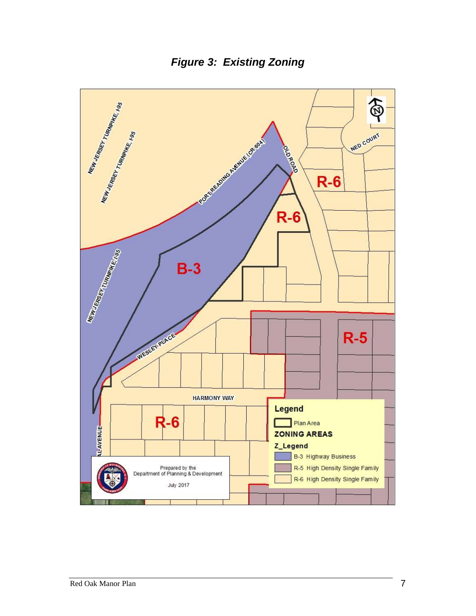*Figure 3: Existing Zoning*

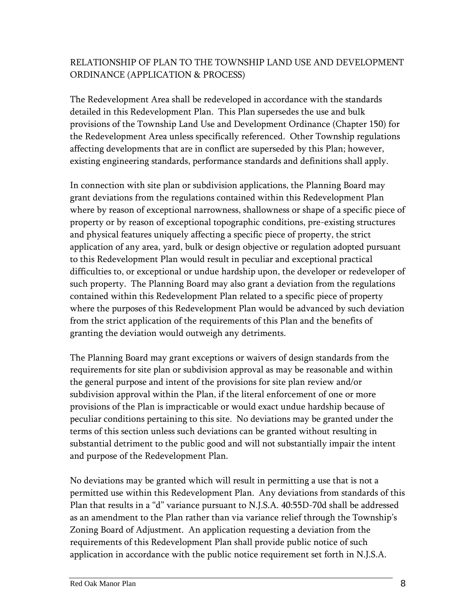# RELATIONSHIP OF PLAN TO THE TOWNSHIP LAND USE AND DEVELOPMENT ORDINANCE (APPLICATION & PROCESS)

The Redevelopment Area shall be redeveloped in accordance with the standards detailed in this Redevelopment Plan. This Plan supersedes the use and bulk provisions of the Township Land Use and Development Ordinance (Chapter 150) for the Redevelopment Area unless specifically referenced. Other Township regulations affecting developments that are in conflict are superseded by this Plan; however, existing engineering standards, performance standards and definitions shall apply.

In connection with site plan or subdivision applications, the Planning Board may grant deviations from the regulations contained within this Redevelopment Plan where by reason of exceptional narrowness, shallowness or shape of a specific piece of property or by reason of exceptional topographic conditions, pre-existing structures and physical features uniquely affecting a specific piece of property, the strict application of any area, yard, bulk or design objective or regulation adopted pursuant to this Redevelopment Plan would result in peculiar and exceptional practical difficulties to, or exceptional or undue hardship upon, the developer or redeveloper of such property. The Planning Board may also grant a deviation from the regulations contained within this Redevelopment Plan related to a specific piece of property where the purposes of this Redevelopment Plan would be advanced by such deviation from the strict application of the requirements of this Plan and the benefits of granting the deviation would outweigh any detriments.

The Planning Board may grant exceptions or waivers of design standards from the requirements for site plan or subdivision approval as may be reasonable and within the general purpose and intent of the provisions for site plan review and/or subdivision approval within the Plan, if the literal enforcement of one or more provisions of the Plan is impracticable or would exact undue hardship because of peculiar conditions pertaining to this site. No deviations may be granted under the terms of this section unless such deviations can be granted without resulting in substantial detriment to the public good and will not substantially impair the intent and purpose of the Redevelopment Plan.

No deviations may be granted which will result in permitting a use that is not a permitted use within this Redevelopment Plan. Any deviations from standards of this Plan that results in a "d" variance pursuant to N.J.S.A. 40:55D-70d shall be addressed as an amendment to the Plan rather than via variance relief through the Township's Zoning Board of Adjustment. An application requesting a deviation from the requirements of this Redevelopment Plan shall provide public notice of such application in accordance with the public notice requirement set forth in N.J.S.A.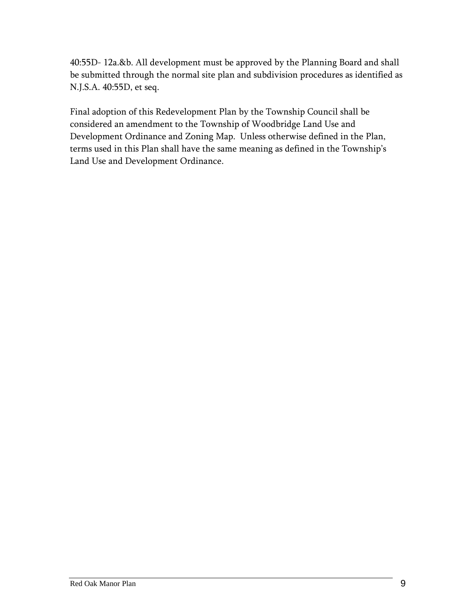40:55D- 12a.&b. All development must be approved by the Planning Board and shall be submitted through the normal site plan and subdivision procedures as identified as N.J.S.A. 40:55D, et seq.

Final adoption of this Redevelopment Plan by the Township Council shall be considered an amendment to the Township of Woodbridge Land Use and Development Ordinance and Zoning Map. Unless otherwise defined in the Plan, terms used in this Plan shall have the same meaning as defined in the Township's Land Use and Development Ordinance.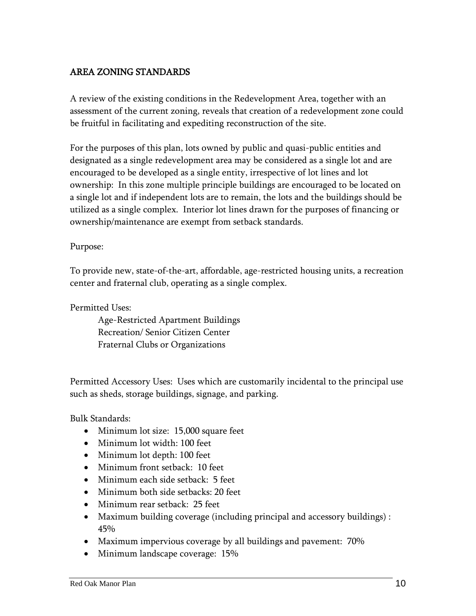# <span id="page-12-0"></span>AREA ZONING STANDARDS

A review of the existing conditions in the Redevelopment Area, together with an assessment of the current zoning, reveals that creation of a redevelopment zone could be fruitful in facilitating and expediting reconstruction of the site.

For the purposes of this plan, lots owned by public and quasi-public entities and designated as a single redevelopment area may be considered as a single lot and are encouraged to be developed as a single entity, irrespective of lot lines and lot ownership: In this zone multiple principle buildings are encouraged to be located on a single lot and if independent lots are to remain, the lots and the buildings should be utilized as a single complex. Interior lot lines drawn for the purposes of financing or ownership/maintenance are exempt from setback standards.

#### Purpose:

To provide new, state-of-the-art, affordable, age-restricted housing units, a recreation center and fraternal club, operating as a single complex.

Permitted Uses:

Age-Restricted Apartment Buildings Recreation/ Senior Citizen Center Fraternal Clubs or Organizations

Permitted Accessory Uses: Uses which are customarily incidental to the principal use such as sheds, storage buildings, signage, and parking.

Bulk Standards:

- Minimum lot size: 15,000 square feet
- Minimum lot width: 100 feet
- Minimum lot depth: 100 feet
- Minimum front setback: 10 feet
- Minimum each side setback: 5 feet
- Minimum both side setbacks: 20 feet
- Minimum rear setback: 25 feet
- Maximum building coverage (including principal and accessory buildings) : 45%
- Maximum impervious coverage by all buildings and pavement: 70%
- Minimum landscape coverage: 15%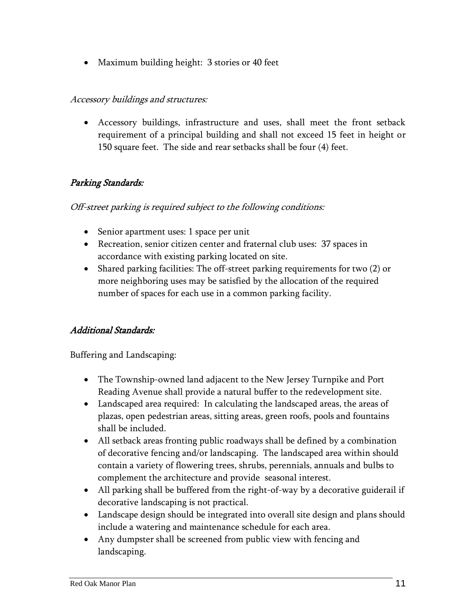• Maximum building height: 3 stories or 40 feet

#### Accessory buildings and structures:

 Accessory buildings, infrastructure and uses, shall meet the front setback requirement of a principal building and shall not exceed 15 feet in height or 150 square feet. The side and rear setbacks shall be four (4) feet.

# Parking Standards:

#### Off-street parking is required subject to the following conditions:

- Senior apartment uses: 1 space per unit
- Recreation, senior citizen center and fraternal club uses: 37 spaces in accordance with existing parking located on site.
- Shared parking facilities: The off-street parking requirements for two (2) or more neighboring uses may be satisfied by the allocation of the required number of spaces for each use in a common parking facility.

# Additional Standards:

Buffering and Landscaping:

- The Township-owned land adjacent to the New Jersey Turnpike and Port Reading Avenue shall provide a natural buffer to the redevelopment site.
- Landscaped area required: In calculating the landscaped areas, the areas of plazas, open pedestrian areas, sitting areas, green roofs, pools and fountains shall be included.
- All setback areas fronting public roadways shall be defined by a combination of decorative fencing and/or landscaping. The landscaped area within should contain a variety of flowering trees, shrubs, perennials, annuals and bulbs to complement the architecture and provide seasonal interest.
- All parking shall be buffered from the right-of-way by a decorative guiderail if decorative landscaping is not practical.
- Landscape design should be integrated into overall site design and plans should include a watering and maintenance schedule for each area.
- Any dumpster shall be screened from public view with fencing and landscaping.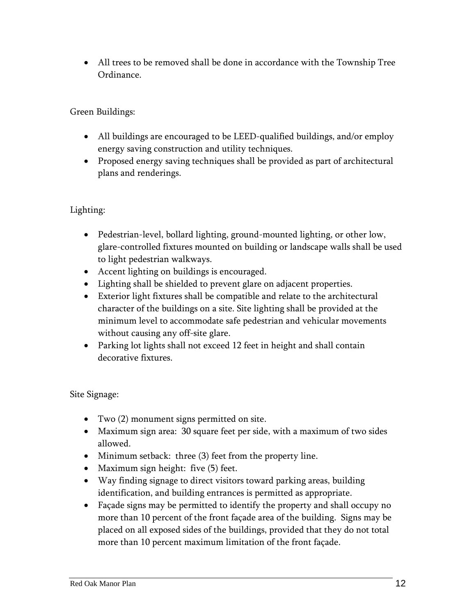All trees to be removed shall be done in accordance with the Township Tree Ordinance.

Green Buildings:

- All buildings are encouraged to be LEED-qualified buildings, and/or employ energy saving construction and utility techniques.
- Proposed energy saving techniques shall be provided as part of architectural plans and renderings.

# Lighting:

- Pedestrian-level, bollard lighting, ground-mounted lighting, or other low, glare-controlled fixtures mounted on building or landscape walls shall be used to light pedestrian walkways.
- Accent lighting on buildings is encouraged.
- Lighting shall be shielded to prevent glare on adjacent properties.
- Exterior light fixtures shall be compatible and relate to the architectural character of the buildings on a site. Site lighting shall be provided at the minimum level to accommodate safe pedestrian and vehicular movements without causing any off-site glare.
- Parking lot lights shall not exceed 12 feet in height and shall contain decorative fixtures.

Site Signage:

- Two (2) monument signs permitted on site.
- Maximum sign area: 30 square feet per side, with a maximum of two sides allowed.
- Minimum setback: three (3) feet from the property line.
- Maximum sign height: five (5) feet.
- Way finding signage to direct visitors toward parking areas, building identification, and building entrances is permitted as appropriate.
- Façade signs may be permitted to identify the property and shall occupy no more than 10 percent of the front façade area of the building. Signs may be placed on all exposed sides of the buildings, provided that they do not total more than 10 percent maximum limitation of the front façade.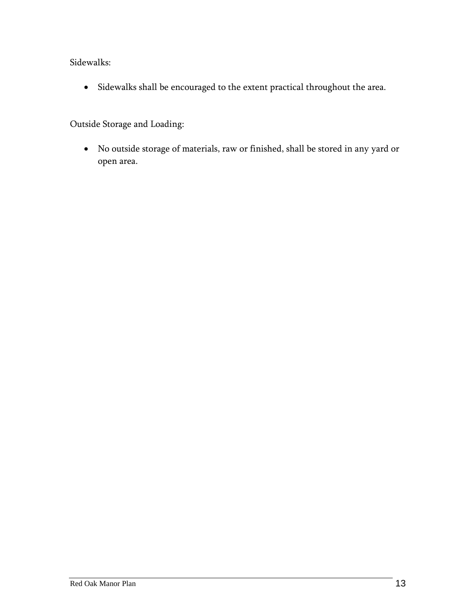Sidewalks:

Sidewalks shall be encouraged to the extent practical throughout the area.

Outside Storage and Loading:

<span id="page-15-0"></span> No outside storage of materials, raw or finished, shall be stored in any yard or open area.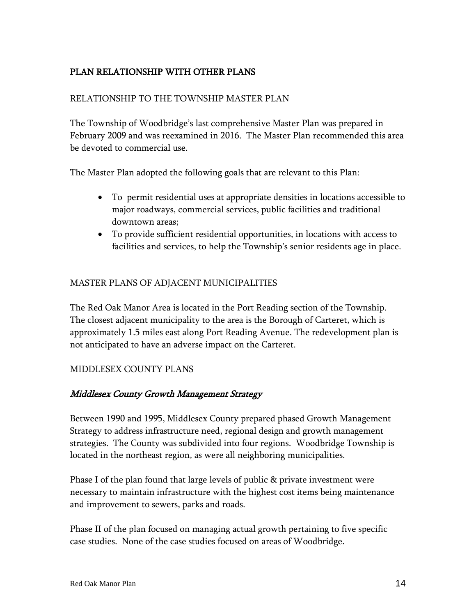# PLAN RELATIONSHIP WITH OTHER PLANS

#### RELATIONSHIP TO THE TOWNSHIP MASTER PLAN

The Township of Woodbridge's last comprehensive Master Plan was prepared in February 2009 and was reexamined in 2016. The Master Plan recommended this area be devoted to commercial use.

The Master Plan adopted the following goals that are relevant to this Plan:

- To permit residential uses at appropriate densities in locations accessible to major roadways, commercial services, public facilities and traditional downtown areas;
- To provide sufficient residential opportunities, in locations with access to facilities and services, to help the Township's senior residents age in place.

#### MASTER PLANS OF ADJACENT MUNICIPALITIES

The Red Oak Manor Area is located in the Port Reading section of the Township. The closest adjacent municipality to the area is the Borough of Carteret, which is approximately 1.5 miles east along Port Reading Avenue. The redevelopment plan is not anticipated to have an adverse impact on the Carteret.

#### MIDDLESEX COUNTY PLANS

#### Middlesex County Growth Management Strategy

Between 1990 and 1995, Middlesex County prepared phased Growth Management Strategy to address infrastructure need, regional design and growth management strategies. The County was subdivided into four regions. Woodbridge Township is located in the northeast region, as were all neighboring municipalities.

Phase I of the plan found that large levels of public & private investment were necessary to maintain infrastructure with the highest cost items being maintenance and improvement to sewers, parks and roads.

Phase II of the plan focused on managing actual growth pertaining to five specific case studies. None of the case studies focused on areas of Woodbridge.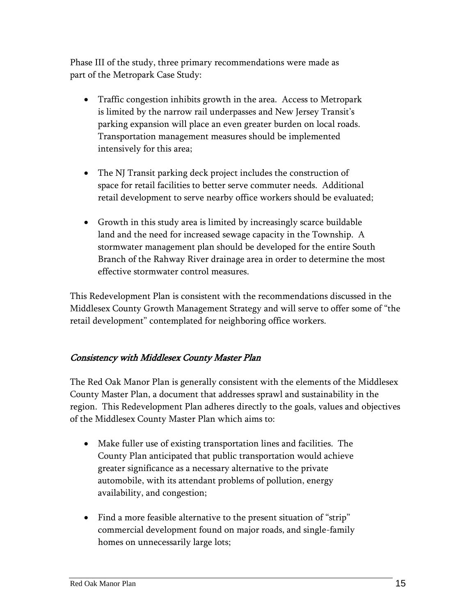Phase III of the study, three primary recommendations were made as part of the Metropark Case Study:

- Traffic congestion inhibits growth in the area. Access to Metropark is limited by the narrow rail underpasses and New Jersey Transit's parking expansion will place an even greater burden on local roads. Transportation management measures should be implemented intensively for this area;
- The NJ Transit parking deck project includes the construction of space for retail facilities to better serve commuter needs. Additional retail development to serve nearby office workers should be evaluated;
- Growth in this study area is limited by increasingly scarce buildable land and the need for increased sewage capacity in the Township. A stormwater management plan should be developed for the entire South Branch of the Rahway River drainage area in order to determine the most effective stormwater control measures.

This Redevelopment Plan is consistent with the recommendations discussed in the Middlesex County Growth Management Strategy and will serve to offer some of "the retail development" contemplated for neighboring office workers.

# Consistency with Middlesex County Master Plan

The Red Oak Manor Plan is generally consistent with the elements of the Middlesex County Master Plan, a document that addresses sprawl and sustainability in the region. This Redevelopment Plan adheres directly to the goals, values and objectives of the Middlesex County Master Plan which aims to:

- Make fuller use of existing transportation lines and facilities. The County Plan anticipated that public transportation would achieve greater significance as a necessary alternative to the private automobile, with its attendant problems of pollution, energy availability, and congestion;
- Find a more feasible alternative to the present situation of "strip" commercial development found on major roads, and single-family homes on unnecessarily large lots;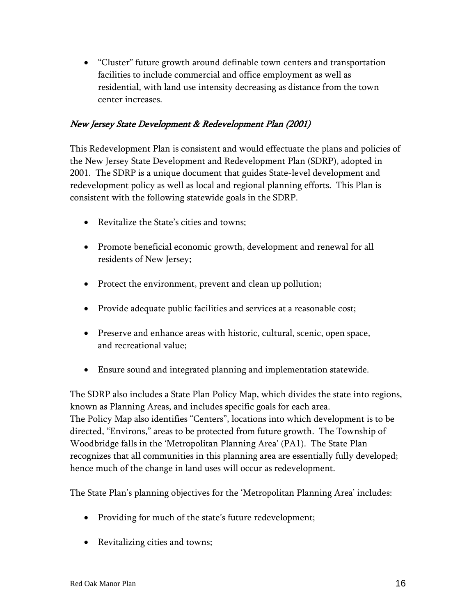"Cluster" future growth around definable town centers and transportation facilities to include commercial and office employment as well as residential, with land use intensity decreasing as distance from the town center increases.

## New Jersey State Development & Redevelopment Plan (2001)

This Redevelopment Plan is consistent and would effectuate the plans and policies of the New Jersey State Development and Redevelopment Plan (SDRP), adopted in 2001. The SDRP is a unique document that guides State-level development and redevelopment policy as well as local and regional planning efforts. This Plan is consistent with the following statewide goals in the SDRP.

- Revitalize the State's cities and towns;
- Promote beneficial economic growth, development and renewal for all residents of New Jersey;
- Protect the environment, prevent and clean up pollution;
- Provide adequate public facilities and services at a reasonable cost;
- Preserve and enhance areas with historic, cultural, scenic, open space, and recreational value;
- Ensure sound and integrated planning and implementation statewide.

The SDRP also includes a State Plan Policy Map, which divides the state into regions, known as Planning Areas, and includes specific goals for each area. The Policy Map also identifies "Centers", locations into which development is to be directed, "Environs," areas to be protected from future growth. The Township of Woodbridge falls in the 'Metropolitan Planning Area' (PA1). The State Plan recognizes that all communities in this planning area are essentially fully developed; hence much of the change in land uses will occur as redevelopment.

The State Plan's planning objectives for the 'Metropolitan Planning Area' includes:

- Providing for much of the state's future redevelopment;
- Revitalizing cities and towns;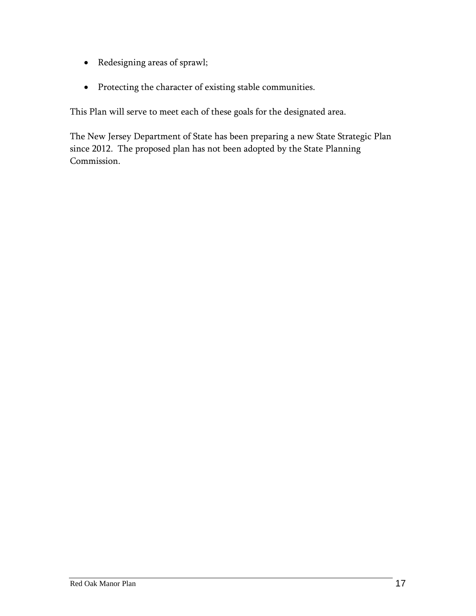- Redesigning areas of sprawl;
- Protecting the character of existing stable communities.

This Plan will serve to meet each of these goals for the designated area.

The New Jersey Department of State has been preparing a new State Strategic Plan since 2012. The proposed plan has not been adopted by the State Planning Commission.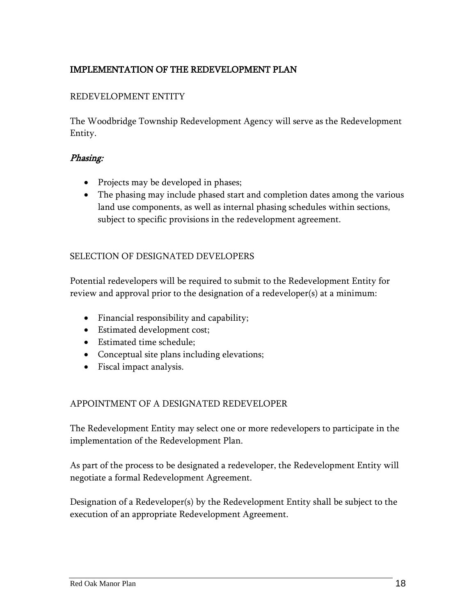# <span id="page-20-0"></span>IMPLEMENTATION OF THE REDEVELOPMENT PLAN

#### REDEVELOPMENT ENTITY

The Woodbridge Township Redevelopment Agency will serve as the Redevelopment Entity.

#### Phasing:

- Projects may be developed in phases;
- The phasing may include phased start and completion dates among the various land use components, as well as internal phasing schedules within sections, subject to specific provisions in the redevelopment agreement.

#### SELECTION OF DESIGNATED DEVELOPERS

Potential redevelopers will be required to submit to the Redevelopment Entity for review and approval prior to the designation of a redeveloper(s) at a minimum:

- Financial responsibility and capability;
- Estimated development cost;
- Estimated time schedule;
- Conceptual site plans including elevations;
- Fiscal impact analysis.

#### APPOINTMENT OF A DESIGNATED REDEVELOPER

The Redevelopment Entity may select one or more redevelopers to participate in the implementation of the Redevelopment Plan.

As part of the process to be designated a redeveloper, the Redevelopment Entity will negotiate a formal Redevelopment Agreement.

Designation of a Redeveloper(s) by the Redevelopment Entity shall be subject to the execution of an appropriate Redevelopment Agreement.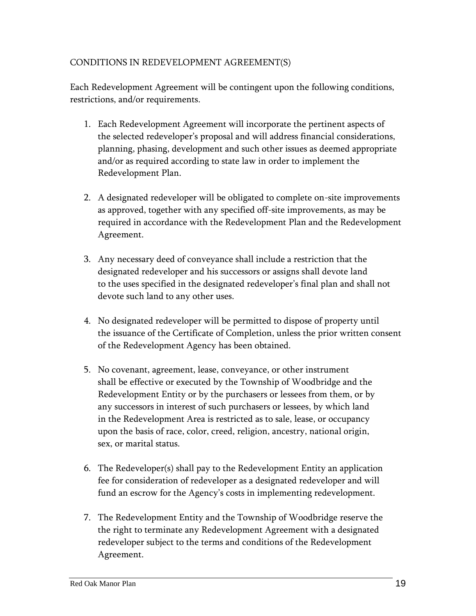#### CONDITIONS IN REDEVELOPMENT AGREEMENT(S)

Each Redevelopment Agreement will be contingent upon the following conditions, restrictions, and/or requirements.

- 1. Each Redevelopment Agreement will incorporate the pertinent aspects of the selected redeveloper's proposal and will address financial considerations, planning, phasing, development and such other issues as deemed appropriate and/or as required according to state law in order to implement the Redevelopment Plan.
- 2. A designated redeveloper will be obligated to complete on-site improvements as approved, together with any specified off-site improvements, as may be required in accordance with the Redevelopment Plan and the Redevelopment Agreement.
- 3. Any necessary deed of conveyance shall include a restriction that the designated redeveloper and his successors or assigns shall devote land to the uses specified in the designated redeveloper's final plan and shall not devote such land to any other uses.
- 4. No designated redeveloper will be permitted to dispose of property until the issuance of the Certificate of Completion, unless the prior written consent of the Redevelopment Agency has been obtained.
- 5. No covenant, agreement, lease, conveyance, or other instrument shall be effective or executed by the Township of Woodbridge and the Redevelopment Entity or by the purchasers or lessees from them, or by any successors in interest of such purchasers or lessees, by which land in the Redevelopment Area is restricted as to sale, lease, or occupancy upon the basis of race, color, creed, religion, ancestry, national origin, sex, or marital status.
- 6. The Redeveloper(s) shall pay to the Redevelopment Entity an application fee for consideration of redeveloper as a designated redeveloper and will fund an escrow for the Agency's costs in implementing redevelopment.
- 7. The Redevelopment Entity and the Township of Woodbridge reserve the the right to terminate any Redevelopment Agreement with a designated redeveloper subject to the terms and conditions of the Redevelopment Agreement.